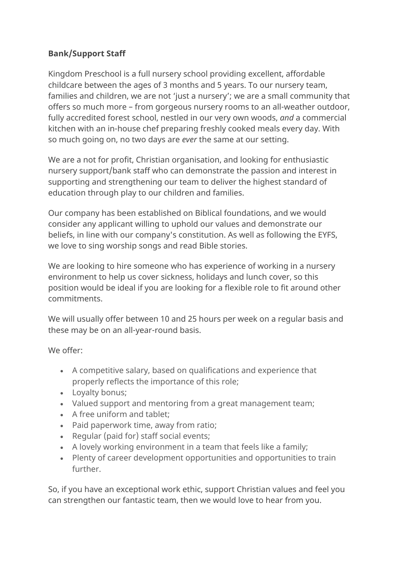## **Bank/Support Staff**

Kingdom Preschool is a full nursery school providing excellent, affordable childcare between the ages of 3 months and 5 years. To our nursery team, families and children, we are not 'just a nursery'; we are a small community that offers so much more – from gorgeous nursery rooms to an all-weather outdoor, fully accredited forest school, nestled in our very own woods, *and* a commercial kitchen with an in-house chef preparing freshly cooked meals every day. With so much going on, no two days are *ever* the same at our setting.

We are a not for profit, Christian organisation, and looking for enthusiastic nursery support/bank staff who can demonstrate the passion and interest in supporting and strengthening our team to deliver the highest standard of education through play to our children and families.

Our company has been established on Biblical foundations, and we would consider any applicant willing to uphold our values and demonstrate our beliefs, in line with our company's constitution. As well as following the EYFS, we love to sing worship songs and read Bible stories.

We are looking to hire someone who has experience of working in a nursery environment to help us cover sickness, holidays and lunch cover, so this position would be ideal if you are looking for a flexible role to fit around other commitments.

We will usually offer between 10 and 25 hours per week on a regular basis and these may be on an all-year-round basis.

We offer:

- A competitive salary, based on qualifications and experience that properly reflects the importance of this role;
- Loyalty bonus;
- Valued support and mentoring from a great management team;
- A free uniform and tablet;
- Paid paperwork time, away from ratio;
- Regular (paid for) staff social events;
- A lovely working environment in a team that feels like a family;
- Plenty of career development opportunities and opportunities to train further.

So, if you have an exceptional work ethic, support Christian values and feel you can strengthen our fantastic team, then we would love to hear from you.